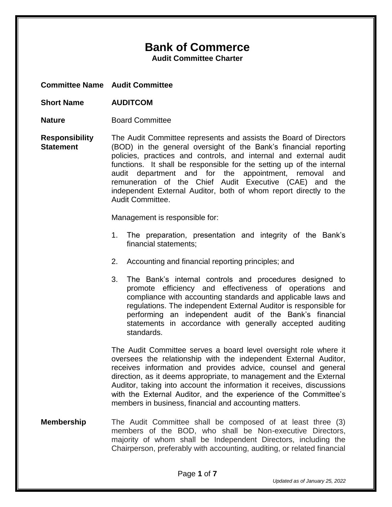# **Bank of Commerce**

**Audit Committee Charter**

**Committee Name Audit Committee**

- **Short Name AUDITCOM**
- **Nature Board Committee**
- **Responsibility Statement** The Audit Committee represents and assists the Board of Directors (BOD) in the general oversight of the Bank's financial reporting policies, practices and controls, and internal and external audit functions. It shall be responsible for the setting up of the internal audit department and for the appointment, removal and remuneration of the Chief Audit Executive (CAE) and the independent External Auditor, both of whom report directly to the Audit Committee.

Management is responsible for:

- 1. The preparation, presentation and integrity of the Bank's financial statements;
- 2. Accounting and financial reporting principles; and
- 3. The Bank's internal controls and procedures designed to promote efficiency and effectiveness of operations and compliance with accounting standards and applicable laws and regulations. The independent External Auditor is responsible for performing an independent audit of the Bank's financial statements in accordance with generally accepted auditing standards.

The Audit Committee serves a board level oversight role where it oversees the relationship with the independent External Auditor, receives information and provides advice, counsel and general direction, as it deems appropriate, to management and the External Auditor, taking into account the information it receives, discussions with the External Auditor, and the experience of the Committee's members in business, financial and accounting matters.

**Membership** The Audit Committee shall be composed of at least three (3) members of the BOD, who shall be Non-executive Directors, majority of whom shall be Independent Directors, including the Chairperson, preferably with accounting, auditing, or related financial

*Updated as of January 25, 2022*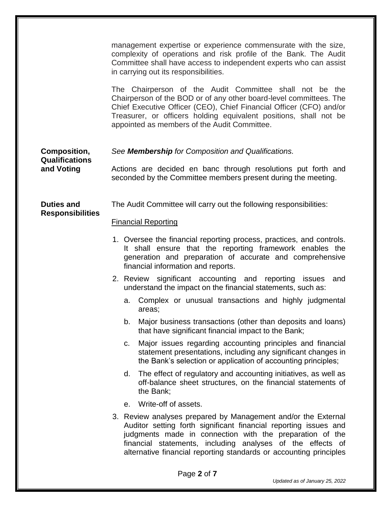|                                              | management expertise or experience commensurate with the size,<br>complexity of operations and risk profile of the Bank. The Audit<br>Committee shall have access to independent experts who can assist<br>in carrying out its responsibilities.                                                                                  |
|----------------------------------------------|-----------------------------------------------------------------------------------------------------------------------------------------------------------------------------------------------------------------------------------------------------------------------------------------------------------------------------------|
|                                              | The Chairperson of the Audit Committee shall not be the<br>Chairperson of the BOD or of any other board-level committees. The<br>Chief Executive Officer (CEO), Chief Financial Officer (CFO) and/or<br>Treasurer, or officers holding equivalent positions, shall not be<br>appointed as members of the Audit Committee.         |
| Composition,                                 | See <b>Membership</b> for Composition and Qualifications.                                                                                                                                                                                                                                                                         |
| <b>Qualifications</b><br>and Voting          | Actions are decided en banc through resolutions put forth and<br>seconded by the Committee members present during the meeting.                                                                                                                                                                                                    |
| <b>Duties and</b><br><b>Responsibilities</b> | The Audit Committee will carry out the following responsibilities:                                                                                                                                                                                                                                                                |
|                                              | <b>Financial Reporting</b>                                                                                                                                                                                                                                                                                                        |
|                                              | 1. Oversee the financial reporting process, practices, and controls.<br>It shall ensure that the reporting framework enables the<br>generation and preparation of accurate and comprehensive<br>financial information and reports.                                                                                                |
|                                              | 2. Review significant accounting and reporting issues<br>and<br>understand the impact on the financial statements, such as:                                                                                                                                                                                                       |
|                                              | Complex or unusual transactions and highly judgmental<br>a.<br>areas;                                                                                                                                                                                                                                                             |
|                                              | b. Major business transactions (other than deposits and loans)<br>that have significant financial impact to the Bank;                                                                                                                                                                                                             |
|                                              | Major issues regarding accounting principles and financial<br>c.<br>statement presentations, including any significant changes in<br>the Bank's selection or application of accounting principles;                                                                                                                                |
|                                              | The effect of regulatory and accounting initiatives, as well as<br>d.<br>off-balance sheet structures, on the financial statements of<br>the Bank;                                                                                                                                                                                |
|                                              | Write-off of assets.<br>е.                                                                                                                                                                                                                                                                                                        |
|                                              | 3. Review analyses prepared by Management and/or the External<br>Auditor setting forth significant financial reporting issues and<br>judgments made in connection with the preparation of the<br>financial statements, including analyses of the effects of<br>alternative financial reporting standards or accounting principles |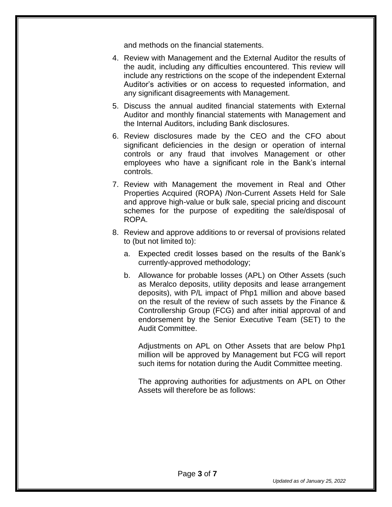and methods on the financial statements.

- 4. Review with Management and the External Auditor the results of the audit, including any difficulties encountered. This review will include any restrictions on the scope of the independent External Auditor's activities or on access to requested information, and any significant disagreements with Management.
- 5. Discuss the annual audited financial statements with External Auditor and monthly financial statements with Management and the Internal Auditors, including Bank disclosures.
- 6. Review disclosures made by the CEO and the CFO about significant deficiencies in the design or operation of internal controls or any fraud that involves Management or other employees who have a significant role in the Bank's internal controls.
- 7. Review with Management the movement in Real and Other Properties Acquired (ROPA) /Non-Current Assets Held for Sale and approve high-value or bulk sale, special pricing and discount schemes for the purpose of expediting the sale/disposal of ROPA.
- 8. Review and approve additions to or reversal of provisions related to (but not limited to):
	- a. Expected credit losses based on the results of the Bank's currently-approved methodology;
	- b. Allowance for probable losses (APL) on Other Assets (such as Meralco deposits, utility deposits and lease arrangement deposits), with P/L impact of Php1 million and above based on the result of the review of such assets by the Finance & Controllership Group (FCG) and after initial approval of and endorsement by the Senior Executive Team (SET) to the Audit Committee.

Adjustments on APL on Other Assets that are below Php1 million will be approved by Management but FCG will report such items for notation during the Audit Committee meeting.

The approving authorities for adjustments on APL on Other Assets will therefore be as follows: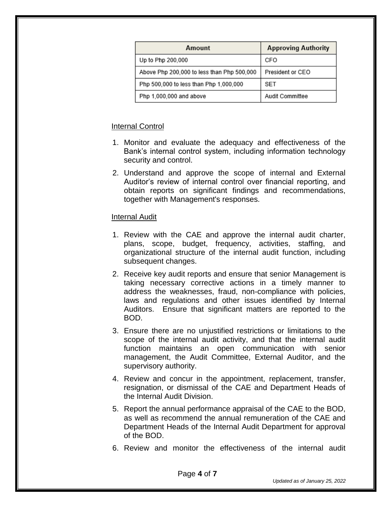| Amount                                     | <b>Approving Authority</b> |
|--------------------------------------------|----------------------------|
| Up to Php 200,000                          | CFO                        |
| Above Php 200,000 to less than Php 500,000 | President or CEO           |
| Php 500,000 to less than Php 1,000,000     | SET                        |
| Php 1,000,000 and above                    | Audit Committee            |

# Internal Control

- 1. Monitor and evaluate the adequacy and effectiveness of the Bank's internal control system, including information technology security and control.
- 2. Understand and approve the scope of internal and External Auditor's review of internal control over financial reporting, and obtain reports on significant findings and recommendations, together with Management's responses.

## **Internal Audit**

- 1. Review with the CAE and approve the internal audit charter, plans, scope, budget, frequency, activities, staffing, and organizational structure of the internal audit function, including subsequent changes.
- 2. Receive key audit reports and ensure that senior Management is taking necessary corrective actions in a timely manner to address the weaknesses, fraud, non-compliance with policies, laws and regulations and other issues identified by Internal Auditors. Ensure that significant matters are reported to the BOD.
- 3. Ensure there are no unjustified restrictions or limitations to the scope of the internal audit activity, and that the internal audit function maintains an open communication with senior management, the Audit Committee, External Auditor, and the supervisory authority.
- 4. Review and concur in the appointment, replacement, transfer, resignation, or dismissal of the CAE and Department Heads of the Internal Audit Division.
- 5. Report the annual performance appraisal of the CAE to the BOD, as well as recommend the annual remuneration of the CAE and Department Heads of the Internal Audit Department for approval of the BOD.
- 6. Review and monitor the effectiveness of the internal audit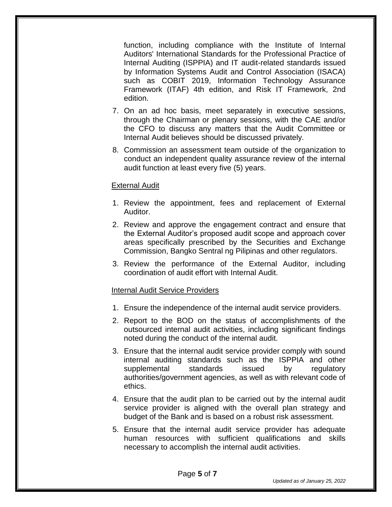function, including compliance with the Institute of Internal Auditors' International Standards for the Professional Practice of Internal Auditing (ISPPIA) and IT audit-related standards issued by Information Systems Audit and Control Association (ISACA) such as COBIT 2019, Information Technology Assurance Framework (ITAF) 4th edition, and Risk IT Framework, 2nd edition.

- 7. On an ad hoc basis, meet separately in executive sessions, through the Chairman or plenary sessions, with the CAE and/or the CFO to discuss any matters that the Audit Committee or Internal Audit believes should be discussed privately.
- 8. Commission an assessment team outside of the organization to conduct an independent quality assurance review of the internal audit function at least every five (5) years.

## External Audit

- 1. Review the appointment, fees and replacement of External Auditor.
- 2. Review and approve the engagement contract and ensure that the External Auditor's proposed audit scope and approach cover areas specifically prescribed by the Securities and Exchange Commission, Bangko Sentral ng Pilipinas and other regulators.
- 3. Review the performance of the External Auditor, including coordination of audit effort with Internal Audit.

#### Internal Audit Service Providers

- 1. Ensure the independence of the internal audit service providers.
- 2. Report to the BOD on the status of accomplishments of the outsourced internal audit activities, including significant findings noted during the conduct of the internal audit.
- 3. Ensure that the internal audit service provider comply with sound internal auditing standards such as the ISPPIA and other supplemental standards issued by regulatory authorities/government agencies, as well as with relevant code of ethics.
- 4. Ensure that the audit plan to be carried out by the internal audit service provider is aligned with the overall plan strategy and budget of the Bank and is based on a robust risk assessment.
- 5. Ensure that the internal audit service provider has adequate human resources with sufficient qualifications and skills necessary to accomplish the internal audit activities.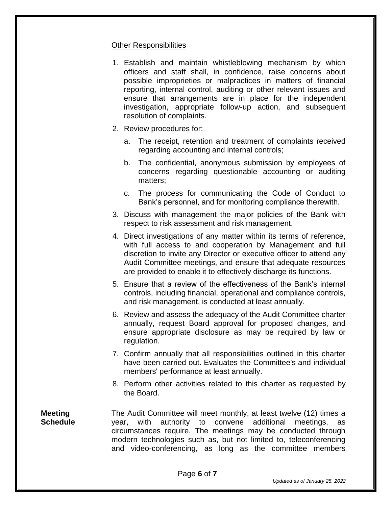#### Other Responsibilities

- 1. Establish and maintain whistleblowing mechanism by which officers and staff shall, in confidence, raise concerns about possible improprieties or malpractices in matters of financial reporting, internal control, auditing or other relevant issues and ensure that arrangements are in place for the independent investigation, appropriate follow-up action, and subsequent resolution of complaints.
- 2. Review procedures for:
	- a. The receipt, retention and treatment of complaints received regarding accounting and internal controls;
	- b. The confidential, anonymous submission by employees of concerns regarding questionable accounting or auditing matters;
	- c. The process for communicating the Code of Conduct to Bank's personnel, and for monitoring compliance therewith.
- 3. Discuss with management the major policies of the Bank with respect to risk assessment and risk management.
- 4. Direct investigations of any matter within its terms of reference, with full access to and cooperation by Management and full discretion to invite any Director or executive officer to attend any Audit Committee meetings, and ensure that adequate resources are provided to enable it to effectively discharge its functions.
- 5. Ensure that a review of the effectiveness of the Bank's internal controls, including financial, operational and compliance controls, and risk management, is conducted at least annually.
- 6. Review and assess the adequacy of the Audit Committee charter annually, request Board approval for proposed changes, and ensure appropriate disclosure as may be required by law or regulation.
- 7. Confirm annually that all responsibilities outlined in this charter have been carried out. Evaluates the Committee's and individual members' performance at least annually.
- 8. Perform other activities related to this charter as requested by the Board.

**Meeting Schedule** The Audit Committee will meet monthly, at least twelve (12) times a year, with authority to convene additional meetings, as circumstances require. The meetings may be conducted through modern technologies such as, but not limited to, teleconferencing and video-conferencing, as long as the committee members